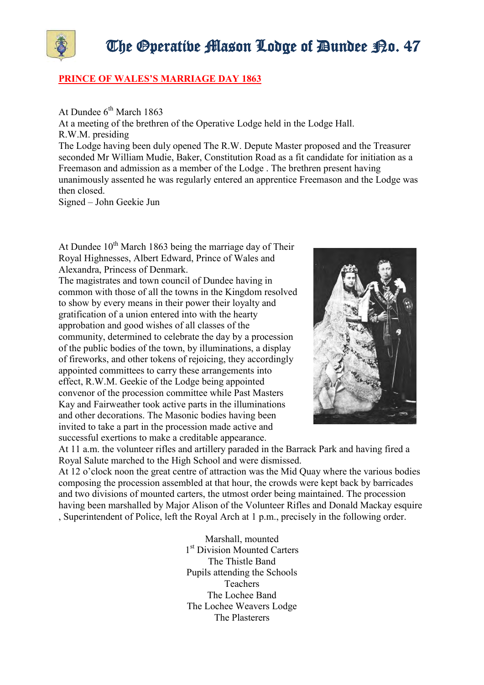

## **PRINCE OF WALES'S MARRIAGE DAY 1863**

At Dundee  $6^{th}$  March 1863 At a meeting of the brethren of the Operative Lodge held in the Lodge Hall. R.W.M. presiding The Lodge having been duly opened The R.W. Depute Master proposed and the Treasurer seconded Mr William Mudie, Baker, Constitution Road as a fit candidate for initiation as a Freemason and admission as a member of the Lodge . The brethren present having unanimously assented he was regularly entered an apprentice Freemason and the Lodge was then closed.

Signed – John Geekie Jun

At Dundee  $10^{th}$  March 1863 being the marriage day of Their Royal Highnesses, Albert Edward, Prince of Wales and Alexandra, Princess of Denmark.

The magistrates and town council of Dundee having in common with those of all the towns in the Kingdom resolved to show by every means in their power their loyalty and gratification of a union entered into with the hearty approbation and good wishes of all classes of the community, determined to celebrate the day by a procession of the public bodies of the town, by illuminations, a display of fireworks, and other tokens of rejoicing, they accordingly appointed committees to carry these arrangements into effect, R.W.M. Geekie of the Lodge being appointed convenor of the procession committee while Past Masters Kay and Fairweather took active parts in the illuminations and other decorations. The Masonic bodies having been invited to take a part in the procession made active and successful exertions to make a creditable appearance.



At 11 a.m. the volunteer rifles and artillery paraded in the Barrack Park and having fired a Royal Salute marched to the High School and were dismissed.

At 12 o'clock noon the great centre of attraction was the Mid Quay where the various bodies composing the procession assembled at that hour, the crowds were kept back by barricades and two divisions of mounted carters, the utmost order being maintained. The procession having been marshalled by Major Alison of the Volunteer Rifles and Donald Mackay esquire , Superintendent of Police, left the Royal Arch at 1 p.m., precisely in the following order.

> Marshall, mounted 1 st Division Mounted Carters The Thistle Band Pupils attending the Schools Teachers The Lochee Band The Lochee Weavers Lodge The Plasterers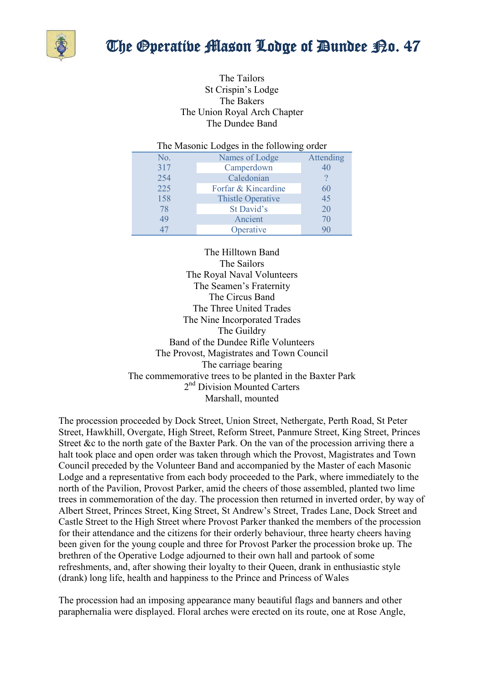

## The Operative Mason Lodge of Dundee P.o. 47

The Tailors St Crispin's Lodge The Bakers The Union Royal Arch Chapter The Dundee Band

| The Masonic Lodges in the following order |                          |           |
|-------------------------------------------|--------------------------|-----------|
| No.                                       | Names of Lodge           | Attending |
| 317                                       | Camperdown               | 40        |
| 254                                       | Caledonian               |           |
| 225                                       | Forfar & Kincardine      | 60        |
| 158                                       | <b>Thistle Operative</b> | 45        |
| 78                                        | St David's               | 20        |
| 49                                        | Ancient                  | 70        |
| 47                                        | Operative                | 90        |

The Hilltown Band The Sailors The Royal Naval Volunteers The Seamen's Fraternity The Circus Band The Three United Trades The Nine Incorporated Trades The Guildry Band of the Dundee Rifle Volunteers The Provost, Magistrates and Town Council The carriage bearing The commemorative trees to be planted in the Baxter Park 2<sup>nd</sup> Division Mounted Carters Marshall, mounted

The procession proceeded by Dock Street, Union Street, Nethergate, Perth Road, St Peter Street, Hawkhill, Overgate, High Street, Reform Street, Panmure Street, King Street, Princes Street &c to the north gate of the Baxter Park. On the van of the procession arriving there a halt took place and open order was taken through which the Provost, Magistrates and Town Council preceded by the Volunteer Band and accompanied by the Master of each Masonic Lodge and a representative from each body proceeded to the Park, where immediately to the north of the Pavilion, Provost Parker, amid the cheers of those assembled, planted two lime trees in commemoration of the day. The procession then returned in inverted order, by way of Albert Street, Princes Street, King Street, St Andrew's Street, Trades Lane, Dock Street and Castle Street to the High Street where Provost Parker thanked the members of the procession for their attendance and the citizens for their orderly behaviour, three hearty cheers having been given for the young couple and three for Provost Parker the procession broke up. The brethren of the Operative Lodge adjourned to their own hall and partook of some refreshments, and, after showing their loyalty to their Queen, drank in enthusiastic style (drank) long life, health and happiness to the Prince and Princess of Wales

The procession had an imposing appearance many beautiful flags and banners and other paraphernalia were displayed. Floral arches were erected on its route, one at Rose Angle,